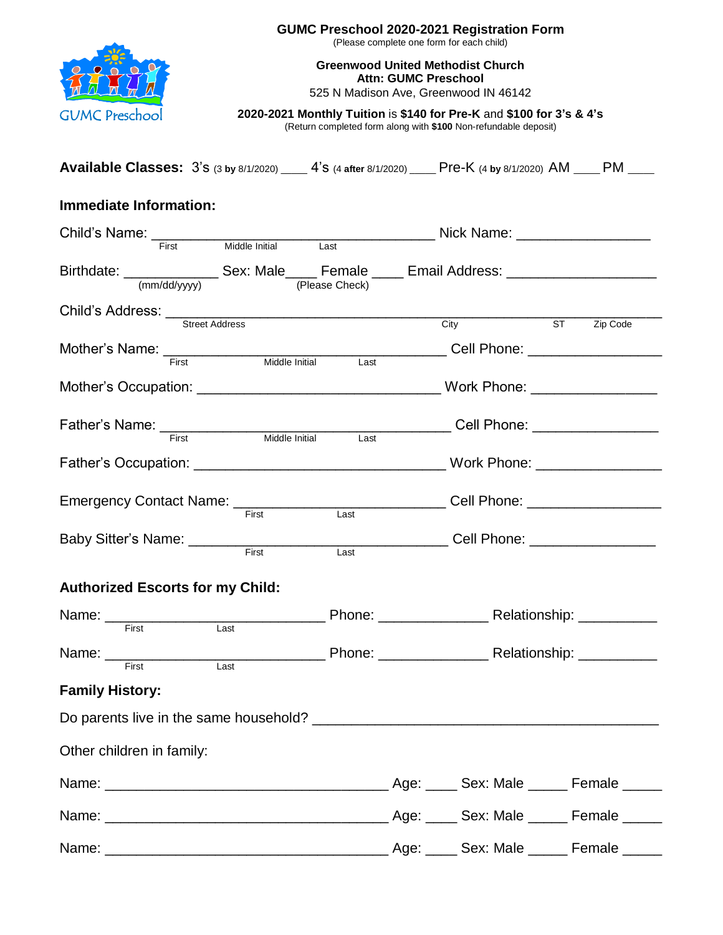

**GUMC Preschool 2020-2021 Registration Form**

(Please complete one form for each child)

**Greenwood United Methodist Church Attn: GUMC Preschool**

525 N Madison Ave, Greenwood IN 46142

**2020-2021 Monthly Tuition** is **\$140 for Pre-K** and **\$100 for 3's & 4's** (Return completed form along with **\$100** Non-refundable deposit)

**Available Classes:** 3's (3 **by** 8/1/2020) \_\_\_\_\_ 4's (4 **after** 8/1/2020) \_\_\_\_\_ Pre-K (4 **by** 8/1/2020) AM \_\_\_\_\_ PM \_\_\_\_\_

## **Immediate Information:**

| Child's Name: First Middle Initial Last Name: Mick Name: All Mame: All Mame: All Mame: All Mick Name: All Mick Name: All Mick Name: All Mick Name: All Mick Name: All Mick Name: All Mick Name: All Mick Name: All Mick Name: |       |                   |                                  |          |
|-------------------------------------------------------------------------------------------------------------------------------------------------------------------------------------------------------------------------------|-------|-------------------|----------------------------------|----------|
| Birthdate: _________________ Sex: Male_____ Female _____ Email Address: ______________________<br>(mm/dd/yyyy)                                                                                                                |       | (Please Check)    |                                  |          |
|                                                                                                                                                                                                                               |       |                   |                                  |          |
|                                                                                                                                                                                                                               |       |                   | City ST                          | Zip Code |
| Mother's Name: <del>First Christian Middle Initial Last</del> Cell Phone: _________________                                                                                                                                   |       |                   |                                  |          |
|                                                                                                                                                                                                                               |       |                   |                                  |          |
|                                                                                                                                                                                                                               |       |                   |                                  |          |
| Father's Name: First Middle Initial                                                                                                                                                                                           |       | Last              |                                  |          |
|                                                                                                                                                                                                                               |       |                   |                                  |          |
|                                                                                                                                                                                                                               |       |                   |                                  |          |
|                                                                                                                                                                                                                               | First | $\overline{Last}$ | Cell Phone: ____________________ |          |
|                                                                                                                                                                                                                               | First | Last              |                                  |          |
| <b>Authorized Escorts for my Child:</b>                                                                                                                                                                                       |       |                   |                                  |          |
| Name: First Last Phone: Relationship: First External Last Phone: Relationship:                                                                                                                                                |       |                   |                                  |          |
|                                                                                                                                                                                                                               |       |                   |                                  |          |
| Name: First Last Dealer Phone: Mannell Relationship: Mannell Phone: Mannell Relationship: Mannell Phone: Manne                                                                                                                |       |                   |                                  |          |
|                                                                                                                                                                                                                               |       |                   |                                  |          |
| <b>Family History:</b>                                                                                                                                                                                                        |       |                   |                                  |          |
|                                                                                                                                                                                                                               |       |                   |                                  |          |
| Other children in family:                                                                                                                                                                                                     |       |                   |                                  |          |
|                                                                                                                                                                                                                               |       |                   |                                  |          |
|                                                                                                                                                                                                                               |       |                   |                                  |          |
|                                                                                                                                                                                                                               |       |                   |                                  |          |